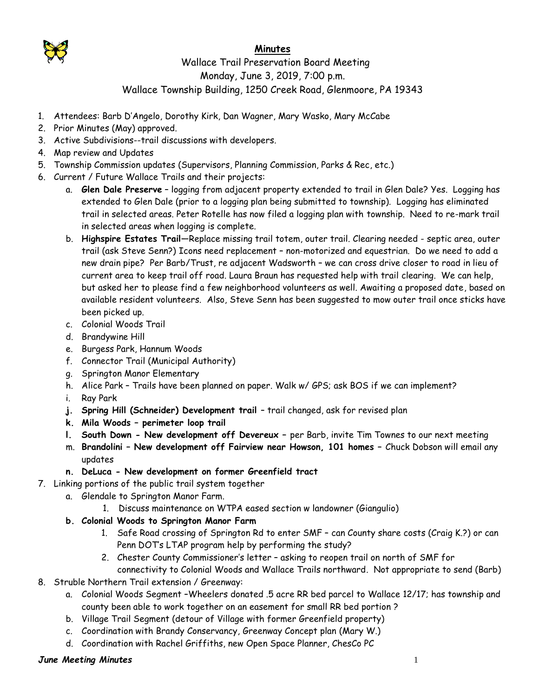

## **Minutes**

## Wallace Trail Preservation Board Meeting Monday, June 3, 2019, 7:00 p.m. Wallace Township Building, 1250 Creek Road, Glenmoore, PA 19343

- 1. Attendees: Barb D'Angelo, Dorothy Kirk, Dan Wagner, Mary Wasko, Mary McCabe
- 2. Prior Minutes (May) approved.
- 3. Active Subdivisions--trail discussions with developers.
- 4. Map review and Updates
- 5. Township Commission updates (Supervisors, Planning Commission, Parks & Rec, etc.)
- 6. Current / Future Wallace Trails and their projects:
	- a. **Glen Dale Preserve** logging from adjacent property extended to trail in Glen Dale? Yes. Logging has extended to Glen Dale (prior to a logging plan being submitted to township). Logging has eliminated trail in selected areas. Peter Rotelle has now filed a logging plan with township. Need to re-mark trail in selected areas when logging is complete.
	- b. **Highspire Estates Trail**—Replace missing trail totem, outer trail. Clearing needed septic area, outer trail (ask Steve Senn?) Icons need replacement – non-motorized and equestrian. Do we need to add a new drain pipe? Per Barb/Trust, re adjacent Wadsworth – we can cross drive closer to road in lieu of current area to keep trail off road. Laura Braun has requested help with trail clearing. We can help, but asked her to please find a few neighborhood volunteers as well. Awaiting a proposed date, based on available resident volunteers. Also, Steve Senn has been suggested to mow outer trail once sticks have been picked up.
	- c. Colonial Woods Trail
	- d. Brandywine Hill
	- e. Burgess Park, Hannum Woods
	- f. Connector Trail (Municipal Authority)
	- g. Springton Manor Elementary
	- h. Alice Park Trails have been planned on paper. Walk w/ GPS; ask BOS if we can implement?
	- i. Ray Park
	- **j. Spring Hill (Schneider) Development trail** trail changed, ask for revised plan
	- **k. Mila Woods – perimeter loop trail**
	- **l. South Down - New development off Devereux –** per Barb, invite Tim Townes to our next meeting
	- m. **Brandolini – New development off Fairview near Howson, 101 homes –** Chuck Dobson will email any updates
	- **n. DeLuca - New development on former Greenfield tract**
- 7. Linking portions of the public trail system together
	- a. Glendale to Springton Manor Farm.
		- 1. Discuss maintenance on WTPA eased section w landowner (Giangulio)
	- **b. Colonial Woods to Springton Manor Farm**
		- 1. Safe Road crossing of Springton Rd to enter SMF can County share costs (Craig K.?) or can Penn DOT's LTAP program help by performing the study?
		- 2. Chester County Commissioner's letter asking to reopen trail on north of SMF for connectivity to Colonial Woods and Wallace Trails northward. Not appropriate to send (Barb)
- 8. Struble Northern Trail extension / Greenway:
	- a. Colonial Woods Segment –Wheelers donated .5 acre RR bed parcel to Wallace 12/17; has township and county been able to work together on an easement for small RR bed portion ?
	- b. Village Trail Segment (detour of Village with former Greenfield property)
	- c. Coordination with Brandy Conservancy, Greenway Concept plan (Mary W.)
	- d. Coordination with Rachel Griffiths, new Open Space Planner, ChesCo PC

## *June Meeting Minutes* 1